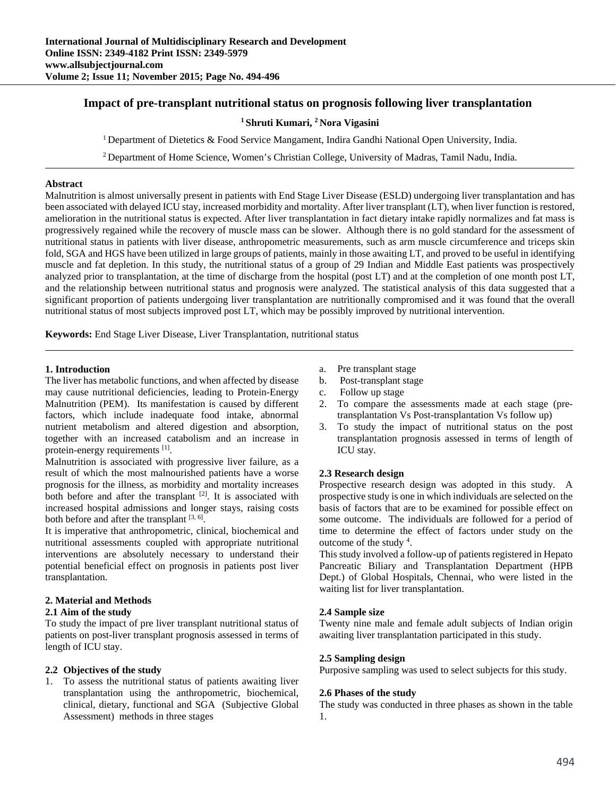# **Impact of pre-transplant nutritional status on prognosis following liver transplantation**

## **1 Shruti Kumari, 2 Nora Vigasini**

<sup>1</sup> Department of Dietetics & Food Service Mangament, Indira Gandhi National Open University, India.

<sup>2</sup> Department of Home Science, Women's Christian College, University of Madras, Tamil Nadu, India.

### **Abstract**

Malnutrition is almost universally present in patients with End Stage Liver Disease (ESLD) undergoing liver transplantation and has been associated with delayed ICU stay, increased morbidity and mortality. After liver transplant (LT), when liver function is restored, amelioration in the nutritional status is expected. After liver transplantation in fact dietary intake rapidly normalizes and fat mass is progressively regained while the recovery of muscle mass can be slower. Although there is no gold standard for the assessment of nutritional status in patients with liver disease, anthropometric measurements, such as arm muscle circumference and triceps skin fold, SGA and HGS have been utilized in large groups of patients, mainly in those awaiting LT, and proved to be useful in identifying muscle and fat depletion. In this study, the nutritional status of a group of 29 Indian and Middle East patients was prospectively analyzed prior to transplantation, at the time of discharge from the hospital (post LT) and at the completion of one month post LT, and the relationship between nutritional status and prognosis were analyzed. The statistical analysis of this data suggested that a significant proportion of patients undergoing liver transplantation are nutritionally compromised and it was found that the overall nutritional status of most subjects improved post LT, which may be possibly improved by nutritional intervention.

**Keywords:** End Stage Liver Disease, Liver Transplantation, nutritional status

### **1. Introduction**

The liver has metabolic functions, and when affected by disease may cause nutritional deficiencies, leading to Protein-Energy Malnutrition (PEM). Its manifestation is caused by different factors, which include inadequate food intake, abnormal nutrient metabolism and altered digestion and absorption, together with an increased catabolism and an increase in protein-energy requirements [1].

Malnutrition is associated with progressive liver failure, as a result of which the most malnourished patients have a worse prognosis for the illness, as morbidity and mortality increases both before and after the transplant [2]. It is associated with increased hospital admissions and longer stays, raising costs both before and after the transplant  $[3, 6]$ .

It is imperative that anthropometric, clinical, biochemical and nutritional assessments coupled with appropriate nutritional interventions are absolutely necessary to understand their potential beneficial effect on prognosis in patients post liver transplantation.

### **2. Material and Methods**

### **2.1 Aim of the study**

To study the impact of pre liver transplant nutritional status of patients on post-liver transplant prognosis assessed in terms of length of ICU stay.

## **2.2 Objectives of the study**

1. To assess the nutritional status of patients awaiting liver transplantation using the anthropometric, biochemical, clinical, dietary, functional and SGA (Subjective Global Assessment) methods in three stages

- a. Pre transplant stage
- b. Post-transplant stage
- c. Follow up stage
- 2. To compare the assessments made at each stage (pretransplantation Vs Post-transplantation Vs follow up)
- 3. To study the impact of nutritional status on the post transplantation prognosis assessed in terms of length of ICU stay.

## **2.3 Research design**

Prospective research design was adopted in this study. A prospective study is one in which individuals are selected on the basis of factors that are to be examined for possible effect on some outcome. The individuals are followed for a period of time to determine the effect of factors under study on the outcome of the study  $4$ .

This study involved a follow-up of patients registered in Hepato Pancreatic Biliary and Transplantation Department (HPB Dept.) of Global Hospitals, Chennai, who were listed in the waiting list for liver transplantation.

### **2.4 Sample size**

Twenty nine male and female adult subjects of Indian origin awaiting liver transplantation participated in this study.

### **2.5 Sampling design**

Purposive sampling was used to select subjects for this study.

### **2.6 Phases of the study**

The study was conducted in three phases as shown in the table 1.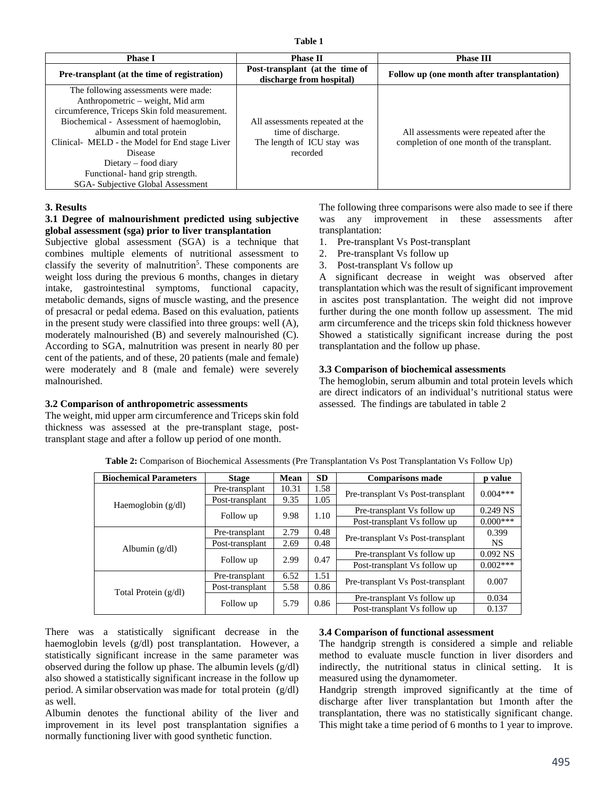| <b>Phase I</b>                                                                                                                                                                                                                                                                                                                                                 | <b>Phase II</b>                                                                                 | <b>Phase III</b>                                                                      |  |
|----------------------------------------------------------------------------------------------------------------------------------------------------------------------------------------------------------------------------------------------------------------------------------------------------------------------------------------------------------------|-------------------------------------------------------------------------------------------------|---------------------------------------------------------------------------------------|--|
| <b>Pre-transplant</b> (at the time of registration)                                                                                                                                                                                                                                                                                                            | Post-transplant (at the time of<br>discharge from hospital)                                     | Follow up (one month after transplantation)                                           |  |
| The following assessments were made:<br>Anthropometric – weight, Mid arm<br>circumference, Triceps Skin fold measurement.<br>Biochemical - Assessment of haemoglobin,<br>albumin and total protein<br>Clinical- MELD - the Model for End stage Liver<br>Disease<br>Dietary – food diary<br>Functional-hand grip strength.<br>SGA- Subjective Global Assessment | All assessments repeated at the<br>time of discharge.<br>The length of ICU stay was<br>recorded | All assessments were repeated after the<br>completion of one month of the transplant. |  |

## **3. Results**

## **3.1 Degree of malnourishment predicted using subjective global assessment (sga) prior to liver transplantation**

Subjective global assessment (SGA) is a technique that combines multiple elements of nutritional assessment to classify the severity of malnutrition<sup>5</sup>. These components are weight loss during the previous 6 months, changes in dietary intake, gastrointestinal symptoms, functional capacity, metabolic demands, signs of muscle wasting, and the presence of presacral or pedal edema. Based on this evaluation, patients in the present study were classified into three groups: well (A), moderately malnourished (B) and severely malnourished (C). According to SGA, malnutrition was present in nearly 80 per cent of the patients, and of these, 20 patients (male and female) were moderately and 8 (male and female) were severely malnourished.

## **3.2 Comparison of anthropometric assessments**

The weight, mid upper arm circumference and Triceps skin fold thickness was assessed at the pre-transplant stage, posttransplant stage and after a follow up period of one month.

The following three comparisons were also made to see if there was any improvement in these assessments after transplantation:

- 1. Pre-transplant Vs Post-transplant
- 2. Pre-transplant Vs follow up
- 3. Post-transplant Vs follow up

A significant decrease in weight was observed after transplantation which was the result of significant improvement in ascites post transplantation. The weight did not improve further during the one month follow up assessment. The mid arm circumference and the triceps skin fold thickness however Showed a statistically significant increase during the post transplantation and the follow up phase.

### **3.3 Comparison of biochemical assessments**

The hemoglobin, serum albumin and total protein levels which are direct indicators of an individual's nutritional status were assessed. The findings are tabulated in table 2

| <b>Biochemical Parameters</b> | <b>Stage</b>    | Mean  | <b>SD</b> | <b>Comparisons made</b>           | p value    |
|-------------------------------|-----------------|-------|-----------|-----------------------------------|------------|
| Haemoglobin $(g/dl)$          | Pre-transplant  | 10.31 | 1.58      | Pre-transplant Vs Post-transplant | $0.004***$ |
|                               | Post-transplant | 9.35  | 1.05      |                                   |            |
|                               |                 | 9.98  | 1.10      | Pre-transplant Vs follow up       | $0.249$ NS |
|                               | Follow up       |       |           | Post-transplant Vs follow up      | $0.000***$ |
| Albumin $(g/dl)$              | Pre-transplant  | 2.79  | 0.48      | Pre-transplant Vs Post-transplant | 0.399      |
|                               | Post-transplant | 2.69  | 0.48      |                                   | <b>NS</b>  |
|                               | Follow up       | 2.99  | 0.47      | Pre-transplant Vs follow up       | $0.092$ NS |
|                               |                 |       |           | Post-transplant Vs follow up      | $0.002***$ |
| Total Protein $(g/dl)$        | Pre-transplant  | 6.52  | 1.51      | Pre-transplant Vs Post-transplant | 0.007      |
|                               | Post-transplant | 5.58  | 0.86      |                                   |            |
|                               |                 | 5.79  | 0.86      | Pre-transplant Vs follow up       | 0.034      |
|                               | Follow up       |       |           | Post-transplant Vs follow up      | 0.137      |

**Table 2:** Comparison of Biochemical Assessments (Pre Transplantation Vs Post Transplantation Vs Follow Up)

There was a statistically significant decrease in the haemoglobin levels (g/dl) post transplantation. However, a statistically significant increase in the same parameter was observed during the follow up phase. The albumin levels (g/dl) also showed a statistically significant increase in the follow up period. A similar observation was made for total protein (g/dl) as well.

Albumin denotes the functional ability of the liver and improvement in its level post transplantation signifies a normally functioning liver with good synthetic function.

### **3.4 Comparison of functional assessment**

The handgrip strength is considered a simple and reliable method to evaluate muscle function in liver disorders and indirectly, the nutritional status in clinical setting. It is measured using the dynamometer.

Handgrip strength improved significantly at the time of discharge after liver transplantation but 1month after the transplantation, there was no statistically significant change. This might take a time period of 6 months to 1 year to improve.